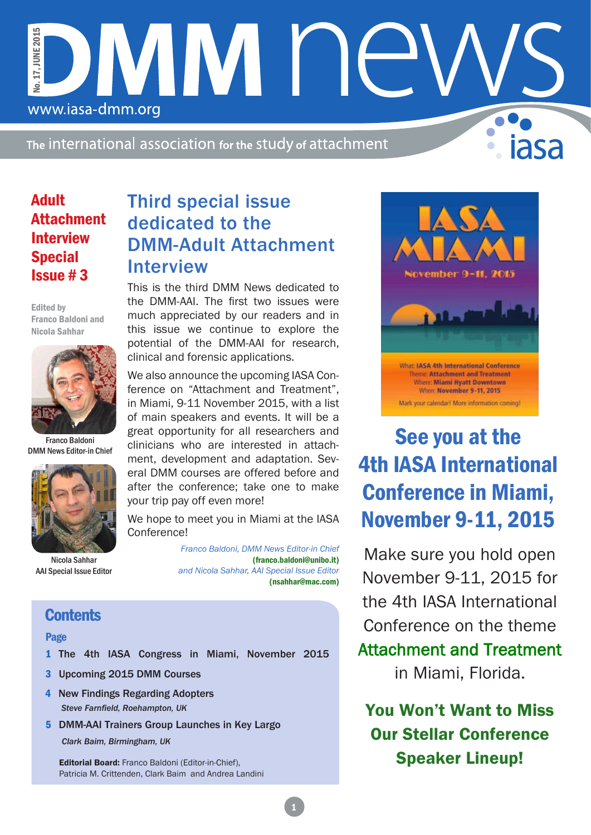The international association for the study of attachment

**MMI** 

Adult Attachment Interview Special Issue # 3

www.iasa-dmm.org

No. 17, JUNE 2015

No. 17. JUNE 2015

Edited by Franco Baldoni and Nicola Sahhar



Franco Baldoni DMM News Editor-in Chief



Nicola Sahhar AAI Special Issue Editor

### Third special issue dedicated to the DMM-Adult Attachment Interview

This is the third DMM News dedicated to the DMM-AAI. The first two issues were much appreciated by our readers and in this issue we continue to explore the potential of the DMM-AAI for research, clinical and forensic applications.

We also announce the upcoming IASA Conference on "Attachment and Treatment", in Miami, 9-11 November 2015, with a list of main speakers and events. It will be a great opportunity for all researchers and clinicians who are interested in attachment, development and adaptation. Several DMM courses are offered before and after the conference; take one to make your trip pay off even more!

We hope to meet you in Miami at the IASA Conference!

> *Franco Baldoni, DMM News Editor-in Chief*  (franco.baldoni@unibo.it) *and Nicola Sahhar, AAI Special Issue Editor* (nsahhar@mac.com)

### **Contents**

#### Page

- 1 The 4th IASA Congress in Miami, November 2015
- 3 Upcoming 2015 DMM Courses
- *Steve Farnfield, Roehampton, UK* 4 New Findings Regarding Adopters
- 5 DMM-AAI Trainers Group Launches in Key Largo

*Clark Baim, Birmingham, UK*

Editorial Board: Franco Baldoni (Editor-in-Chief), Patricia M. Crittenden, Clark Baim and Andrea Landini



# See you at the 4th IASA International Conference in Miami, November 9-11, 2015

Make sure you hold open November 9-11, 2015 for the 4th IASA International Conference on the theme Attachment and Treatment in Miami, Florida.

You Won't Want to Miss Our Stellar Conference Speaker Lineup!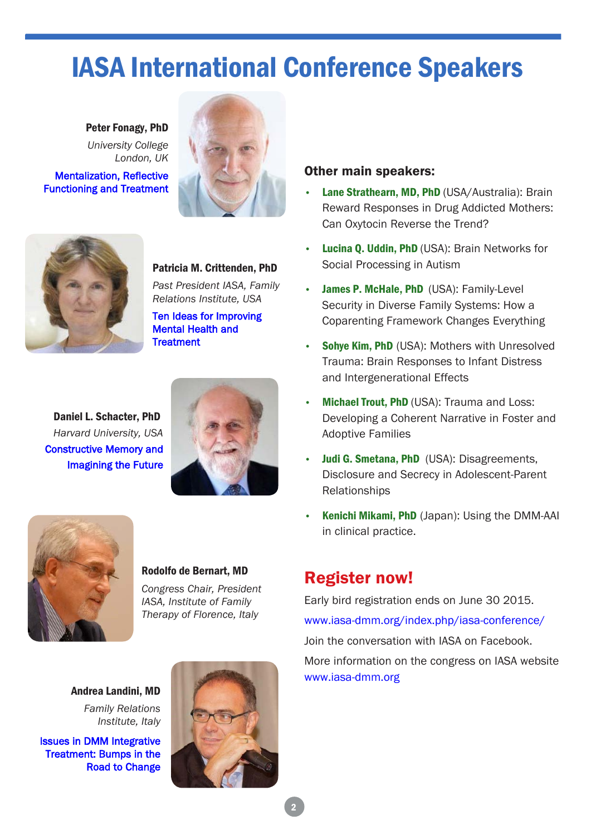# IASA International Conference Speakers

 Peter Fonagy, PhD *University College London, UK* Mentalization, Reflective Functioning and Treatment



Patricia M. Crittenden, PhD *Past President IASA, Family* 

Ten Ideas for Improving Mental Health and **Treatment** 

*Relations Institute, USA*

Daniel L. Schacter, PhD *Harvard University, USA* Constructive Memory and Imagining the Future





#### Rodolfo de Bernart, MD

*Congress Chair, President IASA, Institute of Family Therapy of Florence, Italy*

Andrea Landini, MD *Family Relations Institute, Italy*

Issues in DMM Integrative Treatment: Bumps in the Road to Change



#### Other main speakers:

- Lane Strathearn, MD, PhD (USA/Australia): Brain Reward Responses in Drug Addicted Mothers: Can Oxytocin Reverse the Trend?
- Lucina Q. Uddin, PhD (USA): Brain Networks for Social Processing in Autism
- **James P. McHale, PhD (USA): Family-Level** Security in Diverse Family Systems: How a Coparenting Framework Changes Everything
- **Sohve Kim, PhD (USA): Mothers with Unresolved** Trauma: Brain Responses to Infant Distress and Intergenerational Effects
- **Michael Trout, PhD (USA): Trauma and Loss:** Developing a Coherent Narrative in Foster and Adoptive Families
- Judi G. Smetana, PhD (USA): Disagreements, Disclosure and Secrecy in Adolescent-Parent Relationships
- Kenichi Mikami, PhD (Japan): Using the DMM-AAI in clinical practice.

### Register now!

Early bird registration ends on June 30 2015. www.iasa-dmm.org/index.php/iasa-conference/ Join the conversation with IASA on Facebook. More information on the congress on IASA website

www.iasa-dmm.org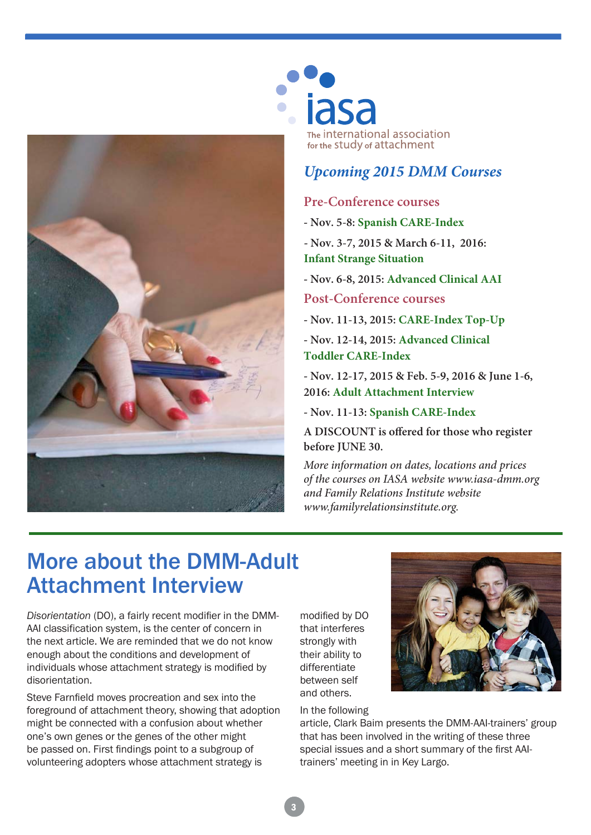

# iasa The international association for the Study of attachment

### *Upcoming 2015 DMM Courses*

#### **Pre-Conference courses**

- **Nov. 5-8: Spanish CARE-Index**
- **Nov. 3-7, 2015 & March 6-11, 2016: Infant Strange Situation**
- **Nov. 6-8, 2015: Advanced Clinical AAI**

#### **Post-Conference courses**

- **Nov. 11-13, 2015: CARE-Index Top-Up**
- **Nov. 12-14, 2015: Advanced Clinical Toddler CARE-Index**

**- Nov. 12-17, 2015 & Feb. 5-9, 2016 & June 1-6, 2016: Adult Attachment Interview**

**- Nov. 11-13: Spanish CARE-Index**

**A DISCOUNT is offered for those who register before JUNE 30.**

*More information on dates, locations and prices of the courses on IASA website www.iasa-dmm.org and Family Relations Institute website www.familyrelationsinstitute.org.*

## More about the DMM-Adult Attachment Interview

*Disorientation* (DO), a fairly recent modifier in the DMM-AAI classification system, is the center of concern in the next article. We are reminded that we do not know enough about the conditions and development of individuals whose attachment strategy is modified by disorientation.

Steve Farnfield moves procreation and sex into the foreground of attachment theory, showing that adoption might be connected with a confusion about whether one's own genes or the genes of the other might be passed on. First findings point to a subgroup of volunteering adopters whose attachment strategy is

modified by DO that interferes strongly with their ability to differentiate between self and others.

In the following



article, Clark Baim presents the DMM-AAI-trainers' group that has been involved in the writing of these three special issues and a short summary of the first AAItrainers' meeting in in Key Largo.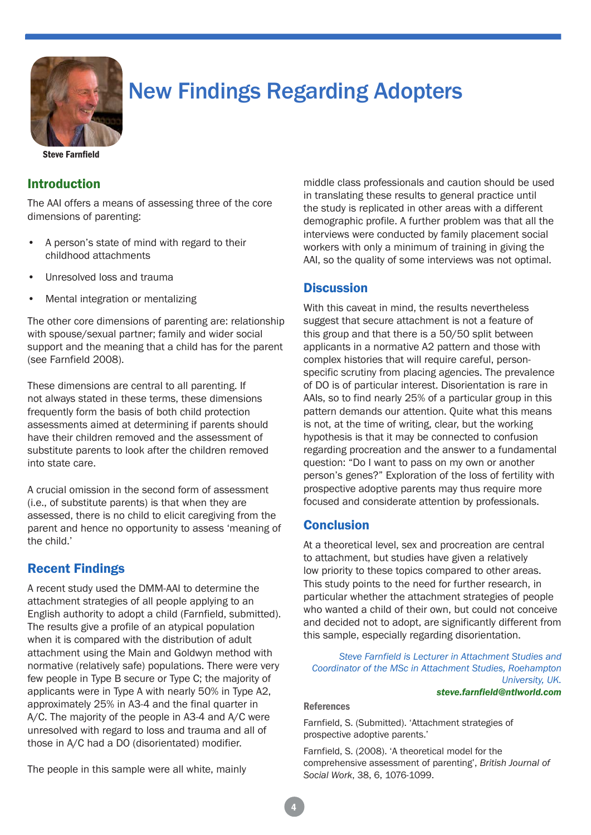

# New Findings Regarding Adopters

Steve Farnfield

#### Introduction

The AAI offers a means of assessing three of the core dimensions of parenting:

- A person's state of mind with regard to their childhood attachments
- Unresolved loss and trauma
- Mental integration or mentalizing

The other core dimensions of parenting are: relationship with spouse/sexual partner; family and wider social support and the meaning that a child has for the parent (see Farnfield 2008).

These dimensions are central to all parenting. If not always stated in these terms, these dimensions frequently form the basis of both child protection assessments aimed at determining if parents should have their children removed and the assessment of substitute parents to look after the children removed into state care.

A crucial omission in the second form of assessment (i.e., of substitute parents) is that when they are assessed, there is no child to elicit caregiving from the parent and hence no opportunity to assess 'meaning of the child.'

### Recent Findings

A recent study used the DMM-AAI to determine the attachment strategies of all people applying to an English authority to adopt a child (Farnfield, submitted). The results give a profile of an atypical population when it is compared with the distribution of adult attachment using the Main and Goldwyn method with normative (relatively safe) populations. There were very few people in Type B secure or Type C; the majority of applicants were in Type A with nearly 50% in Type A2, approximately 25% in A3-4 and the final quarter in A/C. The majority of the people in A3-4 and A/C were unresolved with regard to loss and trauma and all of those in A/C had a DO (disorientated) modifier.

The people in this sample were all white, mainly

middle class professionals and caution should be used in translating these results to general practice until the study is replicated in other areas with a different demographic profile. A further problem was that all the interviews were conducted by family placement social workers with only a minimum of training in giving the AAI, so the quality of some interviews was not optimal.

#### **Discussion**

With this caveat in mind, the results nevertheless suggest that secure attachment is not a feature of this group and that there is a 50/50 split between applicants in a normative A2 pattern and those with complex histories that will require careful, personspecific scrutiny from placing agencies. The prevalence of DO is of particular interest. Disorientation is rare in AAIs, so to find nearly 25% of a particular group in this pattern demands our attention. Quite what this means is not, at the time of writing, clear, but the working hypothesis is that it may be connected to confusion regarding procreation and the answer to a fundamental question: "Do I want to pass on my own or another person's genes?" Exploration of the loss of fertility with prospective adoptive parents may thus require more focused and considerate attention by professionals.

#### **Conclusion**

At a theoretical level, sex and procreation are central to attachment, but studies have given a relatively low priority to these topics compared to other areas. This study points to the need for further research, in particular whether the attachment strategies of people who wanted a child of their own, but could not conceive and decided not to adopt, are significantly different from this sample, especially regarding disorientation.

*Steve Farnfield is Lecturer in Attachment Studies and Coordinator of the MSc in Attachment Studies, Roehampton University, UK. steve.farnfield@ntlworld.com*

#### References

Farnfield, S. (Submitted). 'Attachment strategies of prospective adoptive parents.'

Farnfield, S. (2008). 'A theoretical model for the comprehensive assessment of parenting', *British Journal of Social Work*, 38, 6, 1076-1099.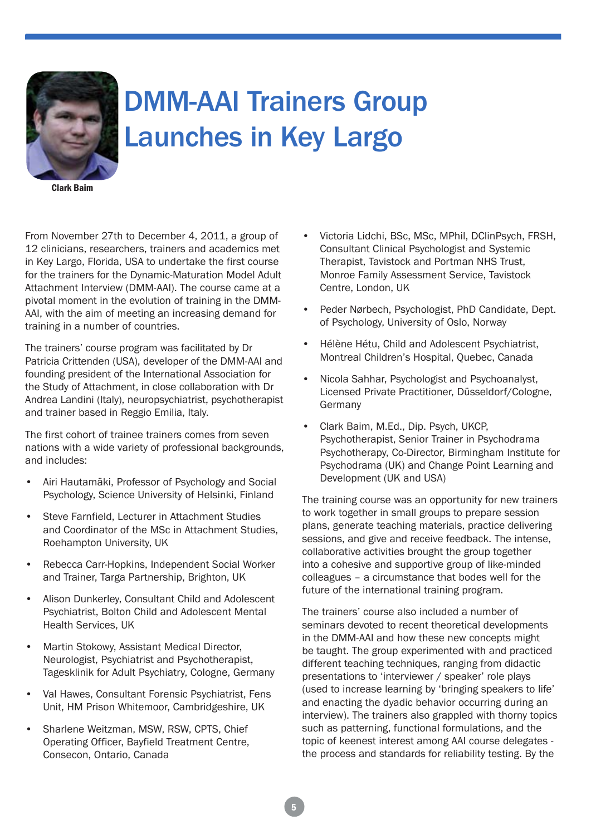

# DMM-AAI Trainers Group Launches in Key Largo

Clark Baim

From November 27th to December 4, 2011, a group of 12 clinicians, researchers, trainers and academics met in Key Largo, Florida, USA to undertake the first course for the trainers for the Dynamic-Maturation Model Adult Attachment Interview (DMM-AAI). The course came at a pivotal moment in the evolution of training in the DMM-AAI, with the aim of meeting an increasing demand for training in a number of countries.

The trainers' course program was facilitated by Dr Patricia Crittenden (USA), developer of the DMM-AAI and founding president of the International Association for the Study of Attachment, in close collaboration with Dr Andrea Landini (Italy), neuropsychiatrist, psychotherapist and trainer based in Reggio Emilia, Italy.

The first cohort of trainee trainers comes from seven nations with a wide variety of professional backgrounds, and includes:

- Airi Hautamäki, Professor of Psychology and Social Psychology, Science University of Helsinki, Finland
- Steve Farnfield, Lecturer in Attachment Studies and Coordinator of the MSc in Attachment Studies, Roehampton University, UK
- Rebecca Carr-Hopkins, Independent Social Worker and Trainer, Targa Partnership, Brighton, UK
- Alison Dunkerley, Consultant Child and Adolescent Psychiatrist, Bolton Child and Adolescent Mental Health Services, UK
- Martin Stokowy, Assistant Medical Director, Neurologist, Psychiatrist and Psychotherapist, Tagesklinik for Adult Psychiatry, Cologne, Germany
- Val Hawes, Consultant Forensic Psychiatrist, Fens Unit, HM Prison Whitemoor, Cambridgeshire, UK
- Sharlene Weitzman, MSW, RSW, CPTS, Chief Operating Officer, Bayfield Treatment Centre, Consecon, Ontario, Canada
- Victoria Lidchi, BSc, MSc, MPhil, DClinPsych, FRSH, Consultant Clinical Psychologist and Systemic Therapist, Tavistock and Portman NHS Trust, Monroe Family Assessment Service, Tavistock Centre, London, UK
- Peder Nørbech, Psychologist, PhD Candidate, Dept. of Psychology, University of Oslo, Norway
- Hélène Hétu, Child and Adolescent Psychiatrist, Montreal Children's Hospital, Quebec, Canada
- Nicola Sahhar, Psychologist and Psychoanalyst, Licensed Private Practitioner, Düsseldorf/Cologne, Germany
- Clark Baim, M.Ed., Dip. Psych, UKCP, Psychotherapist, Senior Trainer in Psychodrama Psychotherapy, Co-Director, Birmingham Institute for Psychodrama (UK) and Change Point Learning and Development (UK and USA)

The training course was an opportunity for new trainers to work together in small groups to prepare session plans, generate teaching materials, practice delivering sessions, and give and receive feedback. The intense, collaborative activities brought the group together into a cohesive and supportive group of like-minded colleagues – a circumstance that bodes well for the future of the international training program.

The trainers' course also included a number of seminars devoted to recent theoretical developments in the DMM-AAI and how these new concepts might be taught. The group experimented with and practiced different teaching techniques, ranging from didactic presentations to 'interviewer / speaker' role plays (used to increase learning by 'bringing speakers to life' and enacting the dyadic behavior occurring during an interview). The trainers also grappled with thorny topics such as patterning, functional formulations, and the topic of keenest interest among AAI course delegates the process and standards for reliability testing. By the